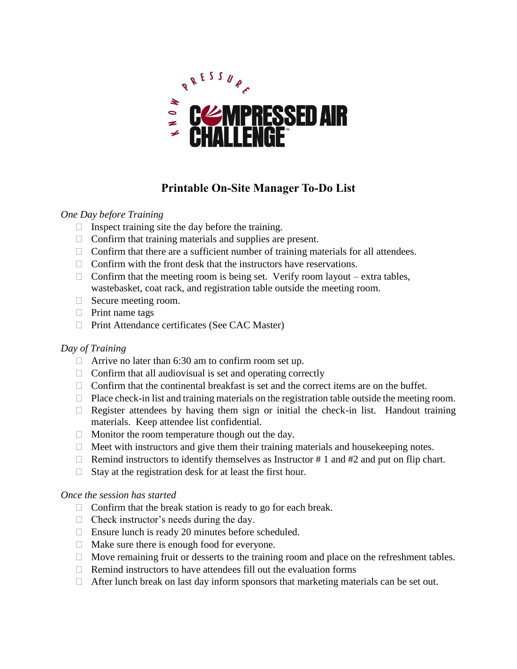

# **Printable On-Site Manager To-Do List**

### *One Day before Training*

- $\Box$  Inspect training site the day before the training.
- $\Box$  Confirm that training materials and supplies are present.
- $\Box$  Confirm that there are a sufficient number of training materials for all attendees.
- $\Box$  Confirm with the front desk that the instructors have reservations.
- $\Box$  Confirm that the meeting room is being set. Verify room layout extra tables, wastebasket, coat rack, and registration table outside the meeting room.
- $\Box$  Secure meeting room.
- $\Box$  Print name tags
- □ Print Attendance certificates (See CAC Master)

## *Day of Training*

- $\Box$  Arrive no later than 6:30 am to confirm room set up.
- $\Box$  Confirm that all audiovisual is set and operating correctly
- $\Box$  Confirm that the continental breakfast is set and the correct items are on the buffet.
- $\Box$  Place check-in list and training materials on the registration table outside the meeting room.
- $\Box$  Register attendees by having them sign or initial the check-in list. Handout training materials. Keep attendee list confidential.
- $\Box$  Monitor the room temperature though out the day.
- $\Box$  Meet with instructors and give them their training materials and house keeping notes.
- $\Box$  Remind instructors to identify themselves as Instructor # 1 and #2 and put on flip chart.
- $\Box$  Stay at the registration desk for at least the first hour.

### *Once the session has started*

- $\Box$  Confirm that the break station is ready to go for each break.
- $\Box$  Check instructor's needs during the day.
- $\Box$  Ensure lunch is ready 20 minutes before scheduled.
- $\Box$  Make sure there is enough food for everyone.
- $\Box$  Move remaining fruit or desserts to the training room and place on the refreshment tables.
- $\Box$  Remind instructors to have attendees fill out the evaluation forms
- $\Box$  After lunch break on last day inform sponsors that marketing materials can be set out.